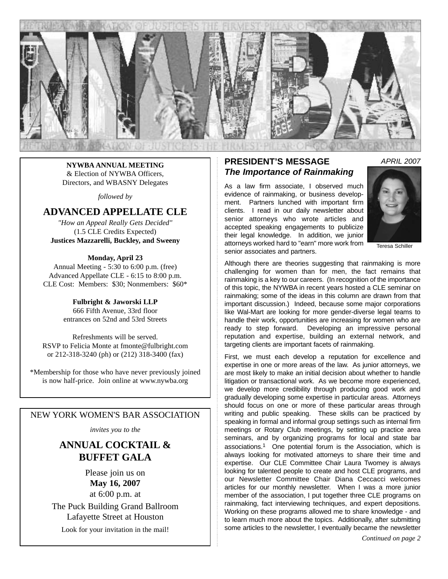

**NYWBA ANNUAL MEETING** & Election of NYWBA Officers, Directors, and WBASNY Delegates

*followed by*

## **ADVANCED APPELLATE CLE**

*"How an Appeal Really Gets Decided"* (1.5 CLE Credits Expected) **Justices Mazzarelli, Buckley, and Sweeny**

#### **Monday, April 23**

Annual Meeting - 5:30 to 6:00 p.m. (free) Advanced Appellate CLE - 6:15 to 8:00 p.m. CLE Cost: Members: \$30; Nonmembers: \$60\*

> **Fulbright & Jaworski LLP** 666 Fifth Avenue, 33rd floor entrances on 52nd and 53rd Streets

Refreshments will be served. RSVP to Felicia Monte at fmonte@fulbright.com or 212-318-3240 (ph) or (212) 318-3400 (fax)

\*Membership for those who have never previously joined is now half-price. Join online at www.nywba.org

### NEW YORK WOMEN'S BAR ASSOCIATION

*invites you to the*

## **ANNUAL COCKTAIL & BUFFET GALA**

Please join us on **May 16, 2007** at 6:00 p.m. at The Puck Building Grand Ballroom Lafayette Street at Houston

Look for your invitation in the mail!

### **PRESIDENT'S MESSAGE** *The Importance of Rainmaking*

As a law firm associate, I observed much evidence of rainmaking, or business development. Partners lunched with important firm clients. I read in our daily newsletter about senior attorneys who wrote articles and accepted speaking engagements to publicize their legal knowledge. In addition, we junior attorneys worked hard to "earn" more work from senior associates and partners.



Teresa Schiller

Although there are theories suggesting that rainmaking is more challenging for women than for men, the fact remains that rainmaking is a key to our careers. (In recognition of the importance of this topic, the NYWBA in recent years hosted a CLE seminar on rainmaking; some of the ideas in this column are drawn from that important discussion.) Indeed, because some major corporations like Wal-Mart are looking for more gender-diverse legal teams to handle their work, opportunities are increasing for women who are ready to step forward. Developing an impressive personal reputation and expertise, building an external network, and targeting clients are important facets of rainmaking.

First, we must each develop a reputation for excellence and expertise in one or more areas of the law. As junior attorneys, we are most likely to make an initial decision about whether to handle litigation or transactional work. As we become more experienced, we develop more credibility through producing good work and gradually developing some expertise in particular areas. Attorneys should focus on one or more of these particular areas through writing and public speaking. These skills can be practiced by speaking in formal and informal group settings such as internal firm meetings or Rotary Club meetings, by setting up practice area seminars, and by organizing programs for local and state bar associations.1 One potential forum is the Association, which is always looking for motivated attorneys to share their time and expertise. Our CLE Committee Chair Laura Twomey is always looking for talented people to create and host CLE programs, and our Newsletter Committee Chair Diana Ceccacci welcomes articles for our monthly newsletter. When I was a more junior member of the association, I put together three CLE programs on rainmaking, fact interviewing techniques, and expert depositions. Working on these programs allowed me to share knowledge - and to learn much more about the topics. Additionally, after submitting some articles to the newsletter, I eventually became the newsletter

*Continued on page 2*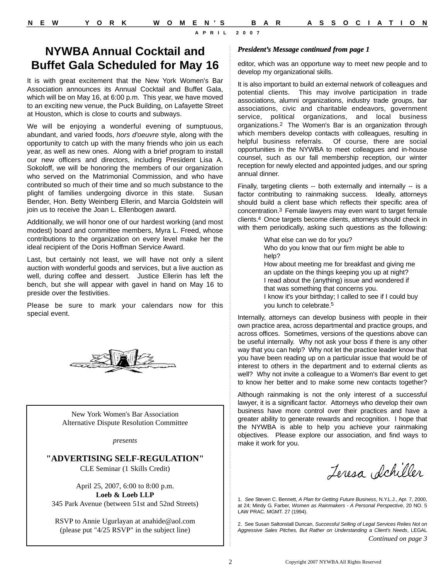## **NYWBA Annual Cocktail and Buffet Gala Scheduled for May 16**

It is with great excitement that the New York Women's Bar Association announces its Annual Cocktail and Buffet Gala, which will be on May 16, at 6:00 p.m. This year, we have moved to an exciting new venue, the Puck Building, on Lafayette Street at Houston, which is close to courts and subways.

We will be enjoying a wonderful evening of sumptuous, abundant, and varied foods, *hors d'oeuvre* style, along with the opportunity to catch up with the many friends who join us each year, as well as new ones. Along with a brief program to install our new officers and directors, including President Lisa A. Sokoloff, we will be honoring the members of our organization who served on the Matrimonial Commission, and who have contributed so much of their time and so much substance to the plight of families undergoing divorce in this state. Susan Bender, Hon. Betty Weinberg Ellerin, and Marcia Goldstein will join us to receive the Joan L. Ellenbogen award.

Additionally, we will honor one of our hardest working (and most modest) board and committee members, Myra L. Freed, whose contributions to the organization on every level make her the ideal recipient of the Doris Hoffman Service Award.

Last, but certainly not least, we will have not only a silent auction with wonderful goods and services, but a live auction as well, during coffee and dessert. Justice Ellerin has left the bench, but she will appear with gavel in hand on May 16 to preside over the festivities.

Please be sure to mark your calendars now for this special event.



New York Women's Bar Association Alternative Dispute Resolution Committee

*presents*

### **"ADVERTISING SELF-REGULATION"**

CLE Seminar (1 Skills Credit)

April 25, 2007, 6:00 to 8:00 p.m. **Loeb & Loeb LLP** 345 Park Avenue (between 51st and 52nd Streets)

RSVP to Annie Ugurlayan at anahide@aol.com (please put "4/25 RSVP" in the subject line)

#### *President's Message continued from page 1*

editor, which was an opportune way to meet new people and to develop my organizational skills.

It is also important to build an external network of colleagues and potential clients. This may involve participation in trade associations, alumni organizations, industry trade groups, bar associations, civic and charitable endeavors, government service, political organizations, and local business organizations.2 The Women's Bar is an organization through which members develop contacts with colleagues, resulting in helpful business referrals. Of course, there are social opportunities in the NYWBA to meet colleagues and in-house counsel, such as our fall membership reception, our winter reception for newly elected and appointed judges, and our spring annual dinner.

Finally, targeting clients -- both externally and internally -- is a factor contributing to rainmaking success. Ideally, attorneys should build a client base which reflects their specific area of concentration.3 Female lawyers may even want to target female clients.4 Once targets become clients, attorneys should check in with them periodically, asking such questions as the following:

> What else can we do for you? Who do you know that our firm might be able to help? How about meeting me for breakfast and giving me an update on the things keeping you up at night? I read about the (anything) issue and wondered if that was something that concerns you. I know it's your birthday; I called to see if I could buy you lunch to celebrate.5

Internally, attorneys can develop business with people in their own practice area, across departmental and practice groups, and across offices. Sometimes, versions of the questions above can be useful internally. Why not ask your boss if there is any other way that you can help? Why not let the practice leader know that you have been reading up on a particular issue that would be of interest to others in the department and to external clients as well? Why not invite a colleague to a Women's Bar event to get to know her better and to make some new contacts together?

Although rainmaking is not the only interest of a successful lawyer, it is a significant factor. Attorneys who develop their own business have more control over their practices and have a greater ability to generate rewards and recognition. I hope that the NYWBA is able to help you achieve your rainmaking objectives. Please explore our association, and find ways to make it work for you.

Jeresa Schiller

1. *See* Steven C. Bennett, *A Plan for Getting Future Business*, N.Y.L.J., Apr. 7, 2000, at 24; Mindy G. Farber, *Women as Rainmakers - A Personal Perspective*, 20 NO. 5 LAW PRAC. MGMT. 27 (1994).

2. See Susan Saltonstall Duncan, *Successful Selling of Legal Services Relies Not on Aggressive Sales Pitches, But Rather on Understanding a Client's Needs*, LEGAL *Continued on page 3*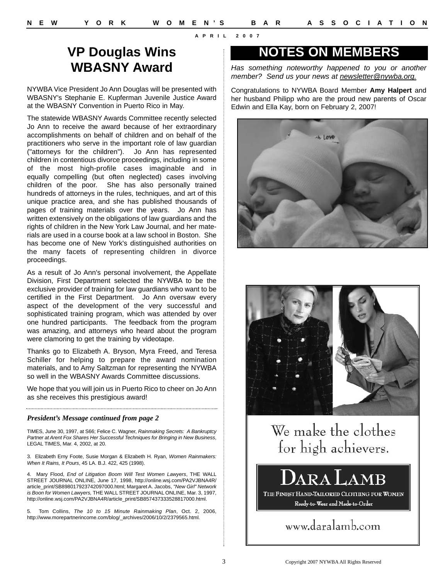# **VP Douglas Wins WBASNY Award**

NYWBA Vice President Jo Ann Douglas will be presented with WBASNY's Stephanie E. Kupferman Juvenile Justice Award at the WBASNY Convention in Puerto Rico in May.

The statewide WBASNY Awards Committee recently selected Jo Ann to receive the award because of her extraordinary accomplishments on behalf of children and on behalf of the practitioners who serve in the important role of law guardian ("attorneys for the children"). Jo Ann has represented children in contentious divorce proceedings, including in some of the most high-profile cases imaginable and in equally compelling (but often neglected) cases involving children of the poor. She has also personally trained hundreds of attorneys in the rules, techniques, and art of this unique practice area, and she has published thousands of pages of training materials over the years. Jo Ann has written extensively on the obligations of law guardians and the rights of children in the New York Law Journal, and her materials are used in a course book at a law school in Boston. She has become one of New York's distinguished authorities on the many facets of representing children in divorce proceedings.

As a result of Jo Ann's personal involvement, the Appellate Division, First Department selected the NYWBA to be the exclusive provider of training for law guardians who want to be certified in the First Department. Jo Ann oversaw every aspect of the development of the very successful and sophisticated training program, which was attended by over one hundred participants. The feedback from the program was amazing, and attorneys who heard about the program were clamoring to get the training by videotape.

Thanks go to Elizabeth A. Bryson, Myra Freed, and Teresa Schiller for helping to prepare the award nomination materials, and to Amy Saltzman for representing the NYWBA so well in the WBASNY Awards Committee discussions.

We hope that you will join us in Puerto Rico to cheer on Jo Ann as she receives this prestigious award!

### *President's Message continued from page 2*

TIMES, June 30, 1997, at S66; Felice C. Wagner, *Rainmaking Secrets: A Bankruptcy Partner at Arent Fox Shares Her Successful Techniques for Bringing in New Business*, LEGAL TIMES, Mar. 4, 2002, at 20.

3. Elizabeth Erny Foote, Susie Morgan & Elizabeth H. Ryan, *Women Rainmakers: When It Rains, It Pours*, 45 LA. B.J. 422, 425 (1998).

4. Mary Flood, *End of Litigation Boom Will Test Women Lawyers*, THE WALL STREET JOURNAL ONLINE, June 17, 1998, http://online.wsj.com/PA2VJBNA4R/ article\_print/SB898017923742097000.html; Margaret A. Jacobs, *"New Girl" Network is Boon for Women Lawyers,* THE WALL STREET JOURNAL ONLINE, Mar. 3, 1997, http://online.wsj.com/PA2VJBNA4R/article\_print/SB857437333528817000.html.

5. Tom Collins, *The 10 to 15 Minute Rainmaking Plan*, Oct. 2, 2006, http://www.morepartnerincome.com/blog/\_archives/2006/10/2/2379565.html.

# **NOTES ON MEMBERS**

*Has something noteworthy happened to you or another member? Send us your news at newsletter@nywba.org.*

Congratulations to NYWBA Board Member **Amy Halpert** and her husband Philipp who are the proud new parents of Oscar Edwin and Ella Kay, born on February 2, 2007!





We make the clothes for high achievers.



Ready-to-Wear and Made-to-Order

www.daralamb.com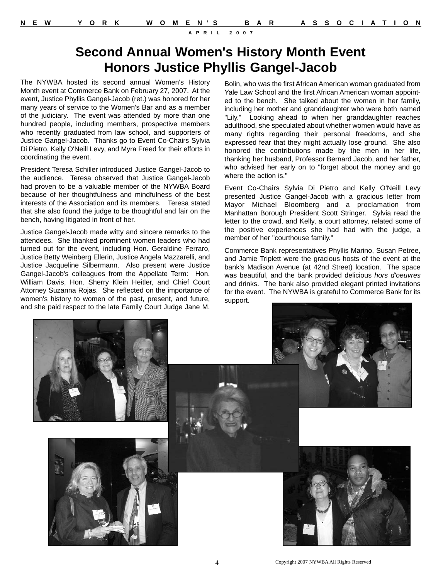# **Second Annual Women's History Month Event Honors Justice Phyllis Gangel-Jacob**

The NYWBA hosted its second annual Women's History Month event at Commerce Bank on February 27, 2007. At the event, Justice Phyllis Gangel-Jacob (ret.) was honored for her many years of service to the Women's Bar and as a member of the judiciary. The event was attended by more than one hundred people, including members, prospective members who recently graduated from law school, and supporters of Justice Gangel-Jacob. Thanks go to Event Co-Chairs Sylvia Di Pietro, Kelly O'Neill Levy, and Myra Freed for their efforts in coordinating the event.

President Teresa Schiller introduced Justice Gangel-Jacob to the audience. Teresa observed that Justice Gangel-Jacob had proven to be a valuable member of the NYWBA Board because of her thoughtfulness and mindfulness of the best interests of the Association and its members. Teresa stated that she also found the judge to be thoughtful and fair on the bench, having litigated in front of her.

Justice Gangel-Jacob made witty and sincere remarks to the attendees. She thanked prominent women leaders who had turned out for the event, including Hon. Geraldine Ferraro, Justice Betty Weinberg Ellerin, Justice Angela Mazzarelli, and Justice Jacqueline Silbermann. Also present were Justice Gangel-Jacob's colleagues from the Appellate Term: Hon. William Davis, Hon. Sherry Klein Heitler, and Chief Court Attorney Suzanna Rojas. She reflected on the importance of women's history to women of the past, present, and future, and she paid respect to the late Family Court Judge Jane M.

Bolin, who was the first African American woman graduated from Yale Law School and the first African American woman appointed to the bench. She talked about the women in her family, including her mother and granddaughter who were both named "Lily." Looking ahead to when her granddaughter reaches adulthood, she speculated about whether women would have as many rights regarding their personal freedoms, and she expressed fear that they might actually lose ground. She also honored the contributions made by the men in her life, thanking her husband, Professor Bernard Jacob, and her father, who advised her early on to "forget about the money and go where the action is."

Event Co-Chairs Sylvia Di Pietro and Kelly O'Neill Levy presented Justice Gangel-Jacob with a gracious letter from Mayor Michael Bloomberg and a proclamation from Manhattan Borough President Scott Stringer. Sylvia read the letter to the crowd, and Kelly, a court attorney, related some of the positive experiences she had had with the judge, a member of her "courthouse family."

Commerce Bank representatives Phyllis Marino, Susan Petree, and Jamie Triplett were the gracious hosts of the event at the bank's Madison Avenue (at 42nd Street) location. The space was beautiful, and the bank provided delicious *hors d'oeuvres* and drinks. The bank also provided elegant printed invitations for the event. The NYWBA is grateful to Commerce Bank for its support.

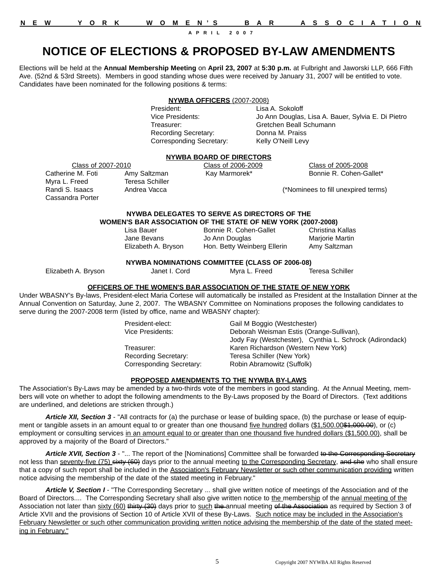| $O$ N<br>N<br>WOME |
|--------------------|
|--------------------|

# **NOTICE OF ELECTIONS & PROPOSED BY-LAW AMENDMENTS**

Elections will be held at the **Annual Membership Meeting** on **April 23, 2007** at **5:30 p.m.** at Fulbright and Jaworski LLP, 666 Fifth Ave. (52nd & 53rd Streets). Members in good standing whose dues were received by January 31, 2007 will be entitled to vote. Candidates have been nominated for the following positions & terms:

### **NYWBA OFFICERS** (2007-2008)

President: Lisa A. Sokoloff Recording Secretary: Donna M. Praiss Corresponding Secretary: Kelly O'Neill Levy

Vice Presidents: Jo Ann Douglas, Lisa A. Bauer, Sylvia E. Di Pietro Treasurer: Gretchen Beall Schumann

### **NYWBA BOARD OF DIRECTORS**

Class of 2007-2010 Class of 2006-2009 Class of 2005-2008 Catherine M. Foti Amy Saltzman Kay Marmorek\* Bonnie R. Cohen-Gallet\*

Randi S. Isaacs Andrea Vacca (\*Nominees to fill unexpired terms)

#### **NYWBA DELEGATES TO SERVE AS DIRECTORS OF THE WOMEN'S BAR ASSOCIATION OF THE STATE OF NEW YORK (2007-2008)**

| Lisa Bauer          | Bonnie R. Cohen-Gallet      | Christina Kallas |
|---------------------|-----------------------------|------------------|
| Jane Bevans         | Jo Ann Douglas              | Marjorie Martin  |
| Elizabeth A. Bryson | Hon. Betty Weinberg Ellerin | Amy Saltzman     |

### **NYWBA NOMINATIONS COMMITTEE (CLASS OF 2006-08)**

Cassandra Porter

Myra L. Freed Teresa Schiller

Elizabeth A. Bryson Janet I. Cord Myra L. Freed Teresa Schiller

### **OFFICERS OF THE WOMEN'S BAR ASSOCIATION OF THE STATE OF NEW YORK**

Under WBASNY's By-laws, President-elect Maria Cortese will automatically be installed as President at the Installation Dinner at the Annual Convention on Saturday, June 2, 2007. The WBASNY Committee on Nominations proposes the following candidates to serve during the 2007-2008 term (listed by office, name and WBASNY chapter):

| President-elect:         | Gail M Boggio (Westchester)                             |  |
|--------------------------|---------------------------------------------------------|--|
| Vice Presidents:         | Deborah Weisman Estis (Orange-Sullivan),                |  |
|                          | Jody Fay (Westchester), Cynthia L. Schrock (Adirondack) |  |
| Treasurer:               | Karen Richardson (Western New York)                     |  |
| Recording Secretary:     | Teresa Schiller (New York)                              |  |
| Corresponding Secretary: | Robin Abramowitz (Suffolk)                              |  |

### **PROPOSED AMENDMENTS TO THE NYWBA BY-LAWS**

The Association's By-Laws may be amended by a two-thirds vote of the members in good standing. At the Annual Meeting, members will vote on whether to adopt the following amendments to the By-Laws proposed by the Board of Directors. (Text additions are underlined, and deletions are stricken through.)

*Article XII, Section 3* - "All contracts for (a) the purchase or lease of building space, (b) the purchase or lease of equipment or tangible assets in an amount equal to or greater than one thousand five hundred dollars (\$1,500.00\$4,000.00), or (c) employment or consulting services in an amount equal to or greater than one thousand five hundred dollars (\$1,500.00), shall be approved by a majority of the Board of Directors."

Article XVII, Section 3 - "... The report of the [Nominations] Committee shall be forwarded to the Corresponding Secretary not less than seventy-five (75) sixty (60) days prior to the annual meeting to the Corresponding Secretary, and she who shall ensure that a copy of such report shall be included in the Association's February Newsletter or such other communication providing written notice advising the membership of the date of the stated meeting in February."

*Article V, Section I* - "The Corresponding Secretary ... shall give written notice of meetings of the Association and of the Board of Directors.... The Corresponding Secretary shall also give written notice to the membership of the annual meeting of the Association not later than sixty (60) thirty (30) days prior to such the annual meeting of the Association as required by Section 3 of Article XVII and the provisions of Section 10 of Article XVII of these By-Laws. Such notice may be included in the Association's February Newsletter or such other communication providing written notice advising the membership of the date of the stated meeting in February."